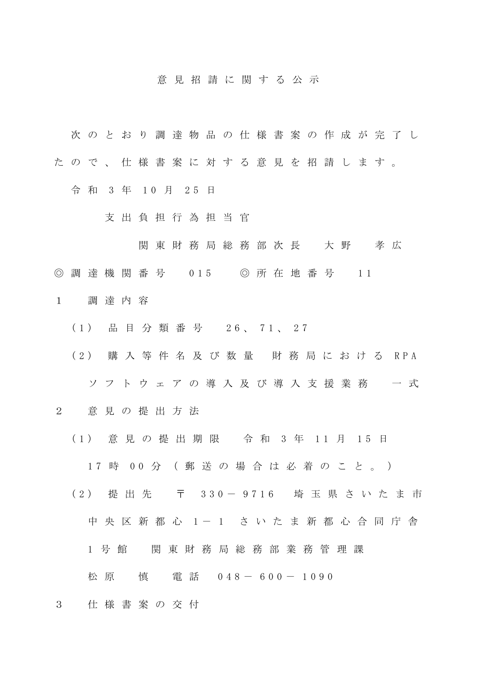## 意 見 招 請 に 関 す る 公 示

- 次 の と お り 調 達 物 品 の 仕 様 書 案 の 作 成 が 完 了 し
- た の で 、 仕 様 書 案 に 対 す る 意 見 を 招 請 し ま す 。
	- 令 和 3 年 10 月 25 日
		- 支 出 負 担 行 為 担 当 官
			- 関 東 財 務 局 総 務 部 次 長 大 野 孝 広
- ◎ 調 達 機 関 番 号 0 15 ◎ 所 在 地 番 号 1 1
- 1 調 達 内 容
	- ( 1 ) 品 目 分 類 番 号 2 6 、 7 1 、 2 7
	- ( 2 ) 購 入 等 件 名 及 び 数 量 財 務 局 に お け る R P A ソ フ ト ウ ェ ア の 導 入 及 び 導 入 支 援 業 務 一 式
- 2 意 見 の 提 出 方 法
	- (1) 意見の提出期限 令和 3年 11月 15日
		- 17 時 00 分 (郵送の場合は必着のこと。)
	- (2) 提 出 先 〒 330-9716 埼 玉 県 さ い た ま 市 中 央 区 新 都 心 1 - 1 さ い た ま 新 都 心 合 同 庁 舎
		- 1 号館 関東財務局総務部業務管理課
		- 松 原 慎 電 話 0 4 8 6 0 0 1 0 9 0
- 3 仕 様 書 案 の 交 付